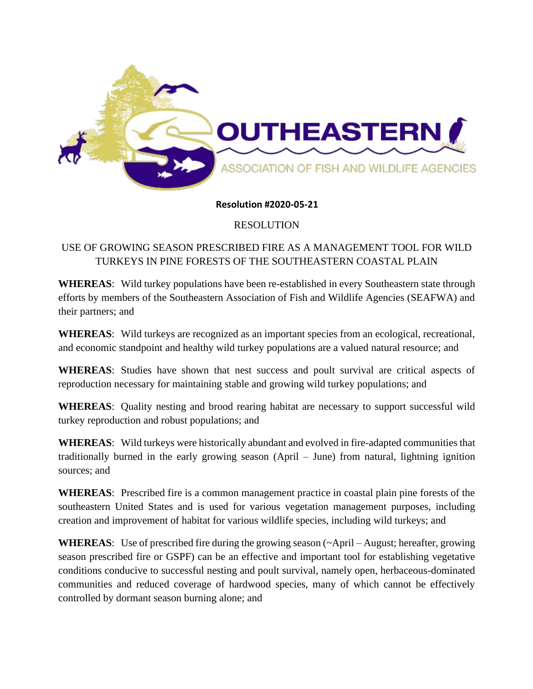

**Resolution #2020-05-21**

RESOLUTION

## USE OF GROWING SEASON PRESCRIBED FIRE AS A MANAGEMENT TOOL FOR WILD TURKEYS IN PINE FORESTS OF THE SOUTHEASTERN COASTAL PLAIN

**WHEREAS**: Wild turkey populations have been re-established in every Southeastern state through efforts by members of the Southeastern Association of Fish and Wildlife Agencies (SEAFWA) and their partners; and

**WHEREAS**: Wild turkeys are recognized as an important species from an ecological, recreational, and economic standpoint and healthy wild turkey populations are a valued natural resource; and

**WHEREAS**: Studies have shown that nest success and poult survival are critical aspects of reproduction necessary for maintaining stable and growing wild turkey populations; and

**WHEREAS**: Quality nesting and brood rearing habitat are necessary to support successful wild turkey reproduction and robust populations; and

**WHEREAS**: Wild turkeys were historically abundant and evolved in fire-adapted communities that traditionally burned in the early growing season (April – June) from natural, lightning ignition sources; and

**WHEREAS**: Prescribed fire is a common management practice in coastal plain pine forests of the southeastern United States and is used for various vegetation management purposes, including creation and improvement of habitat for various wildlife species, including wild turkeys; and

**WHEREAS**: Use of prescribed fire during the growing season (~April – August; hereafter, growing season prescribed fire or GSPF) can be an effective and important tool for establishing vegetative conditions conducive to successful nesting and poult survival, namely open, herbaceous-dominated communities and reduced coverage of hardwood species, many of which cannot be effectively controlled by dormant season burning alone; and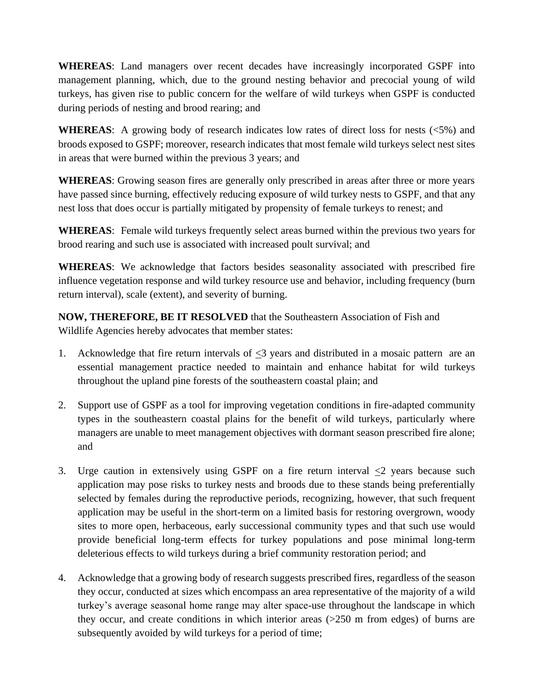**WHEREAS**: Land managers over recent decades have increasingly incorporated GSPF into management planning, which, due to the ground nesting behavior and precocial young of wild turkeys, has given rise to public concern for the welfare of wild turkeys when GSPF is conducted during periods of nesting and brood rearing; and

**WHEREAS**: A growing body of research indicates low rates of direct loss for nests (<5%) and broods exposed to GSPF; moreover, research indicates that most female wild turkeys select nest sites in areas that were burned within the previous 3 years; and

**WHEREAS**: Growing season fires are generally only prescribed in areas after three or more years have passed since burning, effectively reducing exposure of wild turkey nests to GSPF, and that any nest loss that does occur is partially mitigated by propensity of female turkeys to renest; and

**WHEREAS**: Female wild turkeys frequently select areas burned within the previous two years for brood rearing and such use is associated with increased poult survival; and

**WHEREAS**: We acknowledge that factors besides seasonality associated with prescribed fire influence vegetation response and wild turkey resource use and behavior, including frequency (burn return interval), scale (extent), and severity of burning.

**NOW, THEREFORE, BE IT RESOLVED** that the Southeastern Association of Fish and Wildlife Agencies hereby advocates that member states:

- 1. Acknowledge that fire return intervals of  $\leq$ 3 years and distributed in a mosaic pattern are an essential management practice needed to maintain and enhance habitat for wild turkeys throughout the upland pine forests of the southeastern coastal plain; and
- 2. Support use of GSPF as a tool for improving vegetation conditions in fire-adapted community types in the southeastern coastal plains for the benefit of wild turkeys, particularly where managers are unable to meet management objectives with dormant season prescribed fire alone; and
- 3. Urge caution in extensively using GSPF on a fire return interval  $\leq 2$  years because such application may pose risks to turkey nests and broods due to these stands being preferentially selected by females during the reproductive periods, recognizing, however, that such frequent application may be useful in the short-term on a limited basis for restoring overgrown, woody sites to more open, herbaceous, early successional community types and that such use would provide beneficial long-term effects for turkey populations and pose minimal long-term deleterious effects to wild turkeys during a brief community restoration period; and
- 4. Acknowledge that a growing body of research suggests prescribed fires, regardless of the season they occur, conducted at sizes which encompass an area representative of the majority of a wild turkey's average seasonal home range may alter space-use throughout the landscape in which they occur, and create conditions in which interior areas (>250 m from edges) of burns are subsequently avoided by wild turkeys for a period of time;